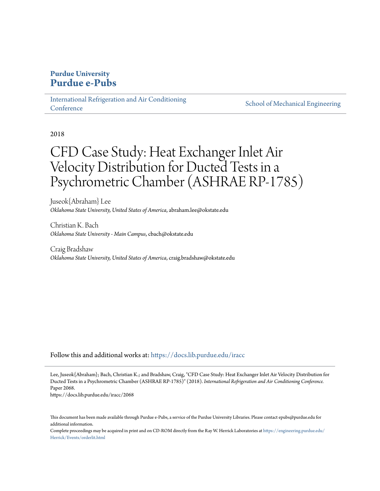## **Purdue University [Purdue e-Pubs](https://docs.lib.purdue.edu?utm_source=docs.lib.purdue.edu%2Firacc%2F2068&utm_medium=PDF&utm_campaign=PDFCoverPages)**

[International Refrigeration and Air Conditioning](https://docs.lib.purdue.edu/iracc?utm_source=docs.lib.purdue.edu%2Firacc%2F2068&utm_medium=PDF&utm_campaign=PDFCoverPages) **[Conference](https://docs.lib.purdue.edu/iracc?utm_source=docs.lib.purdue.edu%2Firacc%2F2068&utm_medium=PDF&utm_campaign=PDFCoverPages)** 

[School of Mechanical Engineering](https://docs.lib.purdue.edu/me?utm_source=docs.lib.purdue.edu%2Firacc%2F2068&utm_medium=PDF&utm_campaign=PDFCoverPages)

2018

# CFD Case Study: Heat Exchanger Inlet Air Velocity Distribution for Ducted Tests in a Psychrometric Chamber (ASHRAE RP-1785)

Juseok{Abraham} Lee *Oklahoma State University, United States of America*, abraham.lee@okstate.edu

Christian K. Bach *Oklahoma State University - Main Campus*, cbach@okstate.edu

Craig Bradshaw *Oklahoma State University, United States of America*, craig.bradshaw@okstate.edu

Follow this and additional works at: [https://docs.lib.purdue.edu/iracc](https://docs.lib.purdue.edu/iracc?utm_source=docs.lib.purdue.edu%2Firacc%2F2068&utm_medium=PDF&utm_campaign=PDFCoverPages)

Lee, Juseok{Abraham}; Bach, Christian K.; and Bradshaw, Craig, "CFD Case Study: Heat Exchanger Inlet Air Velocity Distribution for Ducted Tests in a Psychrometric Chamber (ASHRAE RP-1785)" (2018). *International Refrigeration and Air Conditioning Conference.* Paper 2068.

https://docs.lib.purdue.edu/iracc/2068

This document has been made available through Purdue e-Pubs, a service of the Purdue University Libraries. Please contact epubs@purdue.edu for additional information.

Complete proceedings may be acquired in print and on CD-ROM directly from the Ray W. Herrick Laboratories at [https://engineering.purdue.edu/](https://engineering.purdue.edu/Herrick/Events/orderlit.html) [Herrick/Events/orderlit.html](https://engineering.purdue.edu/Herrick/Events/orderlit.html)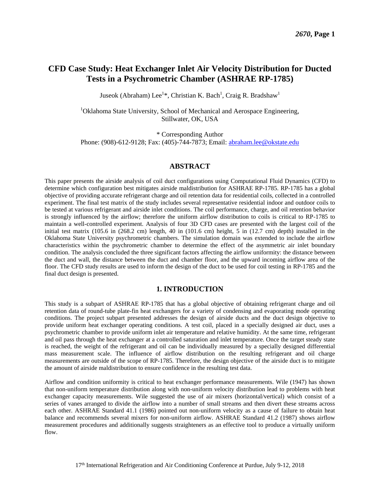## **CFD Case Study: Heat Exchanger Inlet Air Velocity Distribution for Ducted Tests in a Psychrometric Chamber (ASHRAE RP-1785)**

Juseok (Abraham) Lee<sup>1\*</sup>, Christian K. Bach<sup>1</sup>, Craig R. Bradshaw<sup>1</sup>

<sup>1</sup>Oklahoma State University, School of Mechanical and Aerospace Engineering, Stillwater, OK, USA

\* Corresponding Author

Phone: (908)-612-9128; Fax: (405)-744-7873; Email: [abraham.lee@okstate.edu](mailto:abraham.lee@okstate.edu)

#### **ABSTRACT**

This paper presents the airside analysis of coil duct configurations using Computational Fluid Dynamics (CFD) to determine which configuration best mitigates airside maldistribution for ASHRAE RP-1785. RP-1785 has a global objective of providing accurate refrigerant charge and oil retention data for residential coils, collected in a controlled experiment. The final test matrix of the study includes several representative residential indoor and outdoor coils to be tested at various refrigerant and airside inlet conditions. The coil performance, charge, and oil retention behavior is strongly influenced by the airflow; therefore the uniform airflow distribution to coils is critical to RP-1785 to maintain a well-controlled experiment. Analysis of four 3D CFD cases are presented with the largest coil of the initial test matrix (105.6 in (268.2 cm) length, 40 in (101.6 cm) height, 5 in (12.7 cm) depth) installed in the Oklahoma State University psychrometric chambers. The simulation domain was extended to include the airflow characteristics within the psychrometric chamber to determine the effect of the asymmetric air inlet boundary condition. The analysis concluded the three significant factors affecting the airflow uniformity: the distance between the duct and wall, the distance between the duct and chamber floor, and the upward incoming airflow area of the floor. The CFD study results are used to inform the design of the duct to be used for coil testing in RP-1785 and the final duct design is presented.

## **1. INTRODUCTION**

This study is a subpart of ASHRAE RP-1785 that has a global objective of obtaining refrigerant charge and oil retention data of round-tube plate-fin heat exchangers for a variety of condensing and evaporating mode operating conditions. The project subpart presented addresses the design of airside ducts and the duct design objective to provide uniform heat exchanger operating conditions. A test coil, placed in a specially designed air duct, uses a psychrometric chamber to provide uniform inlet air temperature and relative humidity. At the same time, refrigerant and oil pass through the heat exchanger at a controlled saturation and inlet temperature. Once the target steady state is reached, the weight of the refrigerant and oil can be individually measured by a specially designed differential mass measurement scale. The influence of airflow distribution on the resulting refrigerant and oil charge measurements are outside of the scope of RP-1785. Therefore, the design objective of the airside duct is to mitigate the amount of airside maldistribution to ensure confidence in the resulting test data.

Airflow and condition uniformity is critical to heat exchanger performance measurements. Wile (1947) has shown that non-uniform temperature distribution along with non-uniform velocity distribution lead to problems with heat exchanger capacity measurements. Wile suggested the use of air mixers (horizontal/vertical) which consist of a series of vanes arranged to divide the airflow into a number of small streams and then divert these streams across each other. ASHRAE Standard 41.1 (1986) pointed out non-uniform velocity as a cause of failure to obtain heat balance and recommends several mixers for non-uniform airflow. ASHRAE Standard 41.2 (1987) shows airflow measurement procedures and additionally suggests straighteners as an effective tool to produce a virtually uniform flow.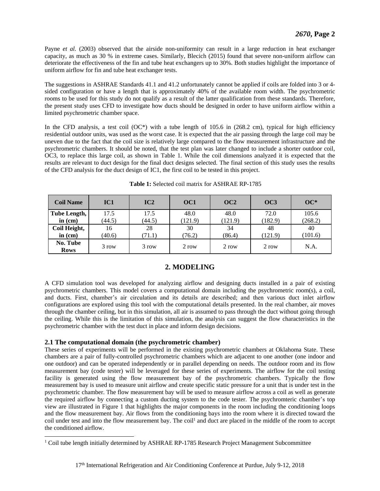Payne *et al.* (2003) observed that the airside non-uniformity can result in a large reduction in heat exchanger capacity, as much as 30 % in extreme cases. Similarly, Blecich (2015) found that severe non-uniform airflow can deteriorate the effectiveness of the fin and tube heat exchangers up to 30%. Both studies highlight the importance of uniform airflow for fin and tube heat exchanger tests.

The suggestions in ASHRAE Standards 41.1 and 41.2 unfortunately cannot be applied if coils are folded into 3 or 4 sided configuration or have a length that is approximately 40% of the available room width. The psychrometric rooms to be used for this study do not qualify as a result of the latter qualification from these standards. Therefore, the present study uses CFD to investigate how ducts should be designed in order to have uniform airflow within a limited psychrometric chamber space.

In the CFD analysis, a test coil  $(OC^*)$  with a tube length of 105.6 in (268.2 cm), typical for high efficiency residential outdoor units, was used as the worst case. It is expected that the air passing through the large coil may be uneven due to the fact that the coil size is relatively large compared to the flow measurement infrastructure and the psychrometric chambers. It should be noted, that the test plan was later changed to include a shorter outdoor coil, OC3, to replace this large coil, as shown in Table 1. While the coil dimensions analyzed it is expected that the results are relevant to duct design for the final duct designs selected. The final section of this study uses the results of the CFD analysis for the duct design of IC1, the first coil to be tested in this project.

| <b>Coil Name</b>        | IC <sub>1</sub> | IC2    | OC <sub>1</sub> | OC2     | OC3     | $OC^*$  |
|-------------------------|-----------------|--------|-----------------|---------|---------|---------|
| Tube Length,            | 17.5            | 17.5   | 48.0            | 48.0    | 72.0    | 105.6   |
| in $(cm)$               | (44.5)          | (44.5) | (121.9)         | (121.9) | (182.9) | (268.2) |
| Coil Height,            | 16              | 28     | 30              | 34      | 48      | 40      |
| in $(cm)$               | (40.6)          | (71.1) | (76.2)          | (86.4)  | (121.9) | (101.6) |
| No. Tube<br><b>Rows</b> | 3 row           | 3 row  | 2 row           | 2 row   | 2 row   | N.A.    |

**Table 1:** Selected coil matrix for ASHRAE RP-1785

## **2. MODELING**

A CFD simulation tool was developed for analyzing airflow and designing ducts installed in a pair of existing psychrometric chambers. This model covers a computational domain including the psychrometric room(s), a coil, and ducts. First, chamber's air circulation and its details are described; and then various duct inlet airflow configurations are explored using this tool with the computational details presented. In the real chamber, air moves through the chamber ceiling, but in this simulation, all air is assumed to pass through the duct without going through the ceiling. While this is the limitation of this simulation, the analysis can suggest the flow characteristics in the psychrometric chamber with the test duct in place and inform design decisions.

## **2.1 The computational domain (the psychrometric chamber)**

 $\overline{a}$ 

These series of experiments will be performed in the existing psychrometric chambers at Oklahoma State. These chambers are a pair of fully-controlled psychrometric chambers which are adjacent to one another (one indoor and one outdoor) and can be operated independently or in parallel depending on needs. The outdoor room and its flow measurement bay (code tester) will be leveraged for these series of experiments. The airflow for the coil testing facility is generated using the flow measurement bay of the psychrometric chambers. Typically the flow measurement bay is used to measure unit airflow and create specific static pressure for a unit that is under test in the psychrometric chamber. The flow measurement bay will be used to measure airflow across a coil as well as generate the required airflow by connecting a custom ducting system to the code tester. The psychromteric chamber's top view are illustrated in Figure 1 that highlights the major components in the room including the conditioning loops and the flow measurement bay. Air flows from the conditioning bays into the room where it is directed toward the coil under test and into the flow measurement bay. The coil<sup>1</sup> and duct are placed in the middle of the room to accept the conditioned airflow.

<sup>&</sup>lt;sup>1</sup> Coil tube length initially determined by ASHRAE RP-1785 Research Project Management Subcommittee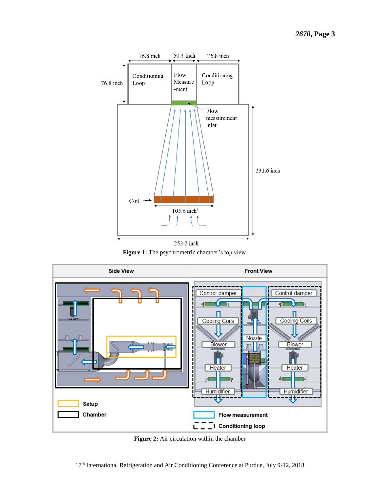

253.2 inch **Figure 1:** The psychrometric chamber's top view



**Figure 2:** Air circulation within the chamber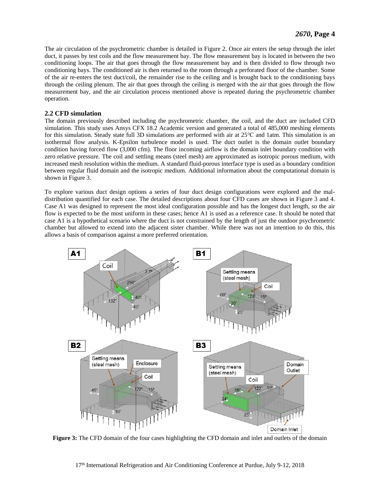The air circulation of the psychrometric chamber is detailed in Figure 2. Once air enters the setup through the inlet duct, it passes by test coils and the flow measurement bay. The flow measurement bay is located in between the two conditioning loops. The air that goes through the flow measurement bay and is then divided to flow through two conditioning bays. The conditioned air is then returned to the room through a perforated floor of the chamber. Some of the air re-enters the test duct/coil, the remainder rise to the ceiling and is brought back to the conditioning bays through the ceiling plenum. The air that goes through the ceiling is merged with the air that goes through the flow measurement bay, and the air circulation process mentioned above is repeated during the psychrometric chamber operation.

## **2.2 CFD simulation**

The domain previously described including the psychrometric chamber, the coil, and the duct are included CFD simulation. This study uses Ansys CFX 18.2 Academic version and generated a total of 485,000 meshing elements for this simulation. Steady state full 3D simulations are performed with air at 25℃ and 1atm. This simulation is an isothermal flow analysis. K-Epsilon turbulence model is used. The duct outlet is the domain outlet boundary condition having forced flow (3,000 cfm). The floor incoming airflow is the domain inlet boundary condition with zero relative pressure. The coil and settling means (steel mesh) are approximated as isotropic porous medium, with increased mesh resolution within the medium. A standard fluid-porous interface type is used as a boundary condition between regular fluid domain and the isotropic medium. Additional information about the computational domain is shown in Figure 3.

To explore various duct design options a series of four duct design configurations were explored and the maldistribution quantified for each case. The detailed descriptions about four CFD cases are shown in Figure 3 and 4. Case A1 was designed to represent the most ideal configuration possible and has the longest duct length, so the air flow is expected to be the most uniform in these cases; hence A1 is used as a reference case. It should be noted that case A1 is a hypothetical scenario where the duct is not constrained by the length of just the outdoor psychrometric chamber but allowed to extend into the adjacent sister chamber. While there was not an intention to do this, this allows a basis of comparison against a more preferred orientation.



**Figure 3:** The CFD domain of the four cases highlighting the CFD domain and inlet and outlets of the domain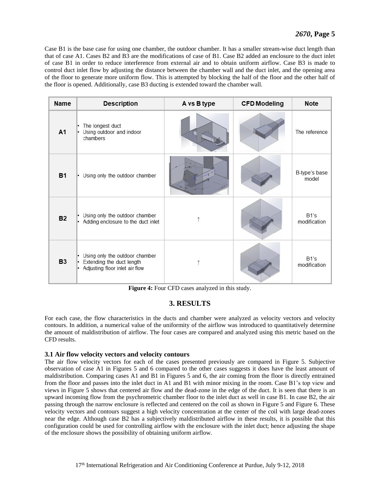Case B1 is the base case for using one chamber, the outdoor chamber. It has a smaller stream-wise duct length than that of case A1. Cases B2 and B3 are the modifications of case of B1. Case B2 added an enclosure to the duct inlet of case B1 in order to reduce interference from external air and to obtain uniform airflow. Case B3 is made to control duct inlet flow by adjusting the distance between the chamber wall and the duct inlet, and the opening area of the floor to generate more uniform flow. This is attempted by blocking the half of the floor and the other half of the floor is opened. Additionally, case B3 ducting is extended toward the chamber wall.

| <b>Name</b>    | <b>Description</b>                                                                              | A vs B type | <b>CFD Modeling</b> | <b>Note</b>            |
|----------------|-------------------------------------------------------------------------------------------------|-------------|---------------------|------------------------|
| A <sub>1</sub> | The longest duct<br>Using outdoor and indoor<br>$\bullet$<br>chambers                           |             |                     | The reference          |
| <b>B1</b>      | Using only the outdoor chamber<br>l.                                                            |             |                     | B-type's base<br>model |
| <b>B2</b>      | Using only the outdoor chamber<br>• Adding enclosure to the duct inlet                          |             |                     | B1's<br>modification   |
| <b>B3</b>      | Using only the outdoor chamber<br>• Extending the duct length<br>Adjusting floor inlet air flow |             |                     | B1's<br>modification   |

**Figure 4:** Four CFD cases analyzed in this study.

## **3. RESULTS**

For each case, the flow characteristics in the ducts and chamber were analyzed as velocity vectors and velocity contours. In addition, a numerical value of the uniformity of the airflow was introduced to quantitatively determine the amount of maldistribution of airflow. The four cases are compared and analyzed using this metric based on the CFD results.

## **3.1 Air flow velocity vectors and velocity contours**

The air flow velocity vectors for each of the cases presented previously are compared in Figure 5. Subjective observation of case A1 in Figures 5 and 6 compared to the other cases suggests it does have the least amount of maldistribution. Comparing cases A1 and B1 in Figures 5 and 6, the air coming from the floor is directly entrained from the floor and passes into the inlet duct in A1 and B1 with minor mixing in the room. Case B1's top view and views in Figure 5 shows that centered air flow and the dead-zone in the edge of the duct. It is seen that there is an upward incoming flow from the psychrometric chamber floor to the inlet duct as well in case B1. In case B2, the air passing through the narrow enclosure is reflected and centered on the coil as shown in Figure 5 and Figure 6. These velocity vectors and contours suggest a high velocity concentration at the center of the coil with large dead-zones near the edge. Although case B2 has a subjectively maldistributed airflow in these results, it is possible that this configuration could be used for controlling airflow with the enclosure with the inlet duct; hence adjusting the shape of the enclosure shows the possibility of obtaining uniform airflow.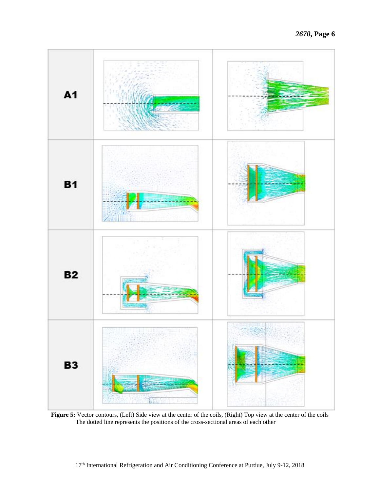

**Figure 5:** Vector contours, (Left) Side view at the center of the coils, (Right) Top view at the center of the coils The dotted line represents the positions of the cross-sectional areas of each other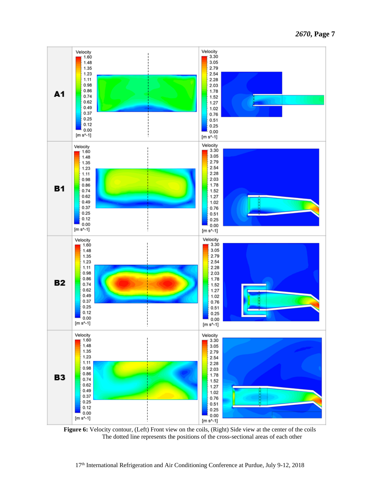

Figure 6: Velocity contour, (Left) Front view on the coils, (Right) Side view at the center of the coils The dotted line represents the positions of the cross-sectional areas of each other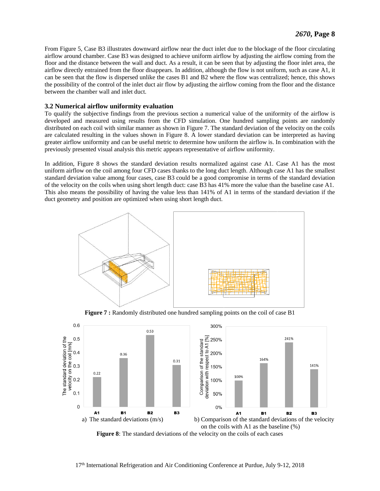From Figure 5, Case B3 illustrates downward airflow near the duct inlet due to the blockage of the floor circulating airflow around chamber. Case B3 was designed to achieve uniform airflow by adjusting the airflow coming from the floor and the distance between the wall and duct. As a result, it can be seen that by adjusting the floor inlet area, the airflow directly entrained from the floor disappears. In addition, although the flow is not uniform, such as case A1, it can be seen that the flow is dispersed unlike the cases B1 and B2 where the flow was centralized; hence, this shows the possibility of the control of the inlet duct air flow by adjusting the airflow coming from the floor and the distance between the chamber wall and inlet duct.

## **3.2 Numerical airflow uniformity evaluation**

To qualify the subjective findings from the previous section a numerical value of the uniformity of the airflow is developed and measured using results from the CFD simulation. One hundred sampling points are randomly distributed on each coil with similar manner as shown in Figure 7. The standard deviation of the velocity on the coils are calculated resulting in the values shown in Figure 8. A lower standard deviation can be interpreted as having greater airflow uniformity and can be useful metric to determine how uniform the airflow is. In combination with the previously presented visual analysis this metric appears representative of airflow uniformity.

In addition, Figure 8 shows the standard deviation results normalized against case A1. Case A1 has the most uniform airflow on the coil among four CFD cases thanks to the long duct length. Although case A1 has the smallest standard deviation value among four cases, case B3 could be a good compromise in terms of the standard deviation of the velocity on the coils when using short length duct: case B3 has 41% more the value than the baseline case A1. This also means the possibility of having the value less than 141% of A1 in terms of the standard deviation if the duct geometry and position are optimized when using short length duct.



**Figure 7 :** Randomly distributed one hundred sampling points on the coil of case B1

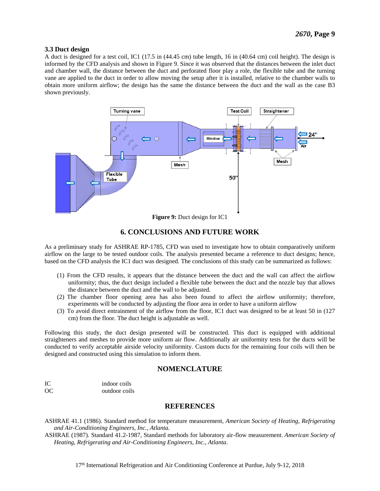#### **3.3 Duct design**

A duct is designed for a test coil, IC1 (17.5 in (44.45 cm) tube length, 16 in (40.64 cm) coil height). The design is informed by the CFD analysis and shown in Figure 9. Since it was observed that the distances between the inlet duct and chamber wall, the distance between the duct and perforated floor play a role, the flexible tube and the turning vane are applied to the duct in order to allow moving the setup after it is installed, relative to the chamber walls to obtain more uniform airflow; the design has the same the distance between the duct and the wall as the case B3 shown previously.



**Figure 9:** Duct design for IC1

## **6. CONCLUSIONS AND FUTURE WORK**

As a preliminary study for ASHRAE RP-1785, CFD was used to investigate how to obtain comparatively uniform airflow on the large to be tested outdoor coils. The analysis presented became a reference to duct designs; hence, based on the CFD analysis the IC1 duct was designed. The conclusions of this study can be summarized as follows:

- (1) From the CFD results, it appears that the distance between the duct and the wall can affect the airflow uniformity; thus, the duct design included a flexible tube between the duct and the nozzle bay that allows the distance between the duct and the wall to be adjusted.
- (2) The chamber floor opening area has also been found to affect the airflow uniformity; therefore, experiments will be conducted by adjusting the floor area in order to have a uniform airflow
- (3) To avoid direct entrainment of the airflow from the floor, IC1 duct was designed to be at least 50 in (127 cm) from the floor. The duct height is adjustable as well.

Following this study, the duct design presented will be constructed. This duct is equipped with additional straighteners and meshes to provide more uniform air flow. Additionally air uniformity tests for the ducts will be conducted to verify acceptable airside velocity uniformity. Custom ducts for the remaining four coils will then be designed and constructed using this simulation to inform them.

## **NOMENCLATURE**

IC indoor coils OC outdoor coils

## **REFERENCES**

ASHRAE 41.1 (1986). Standard method for temperature measurement, *American Society of Heating, Refrigerating and Air-Conditioning Engineers, Inc., Atlanta.*

ASHRAE (1987). Standard 41.2-1987, Standard methods for laboratory air-flow measurement. *American Society of Heating, Refrigerating and Air-Conditioning Engineers, Inc., Atlanta*.